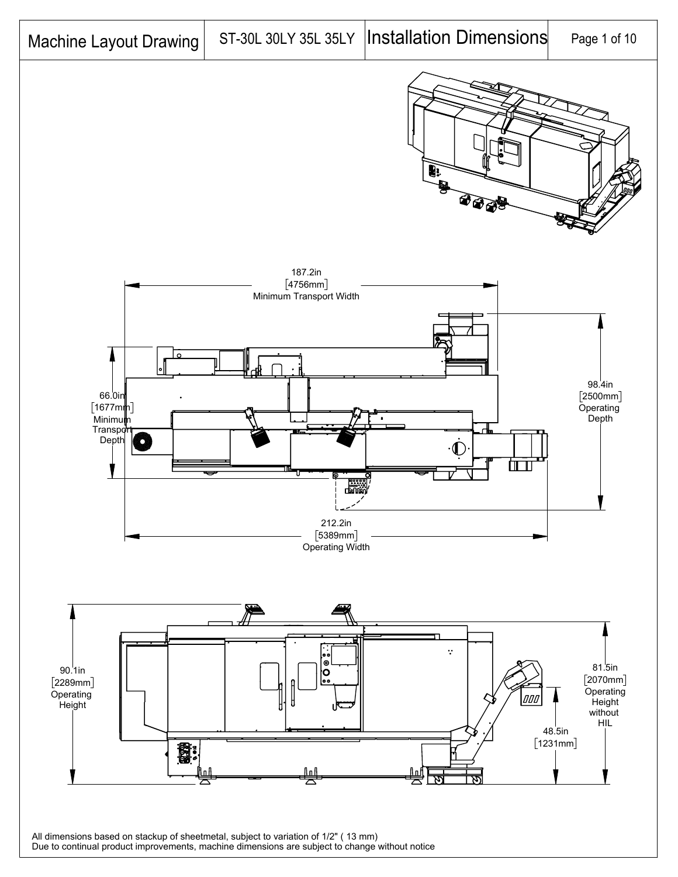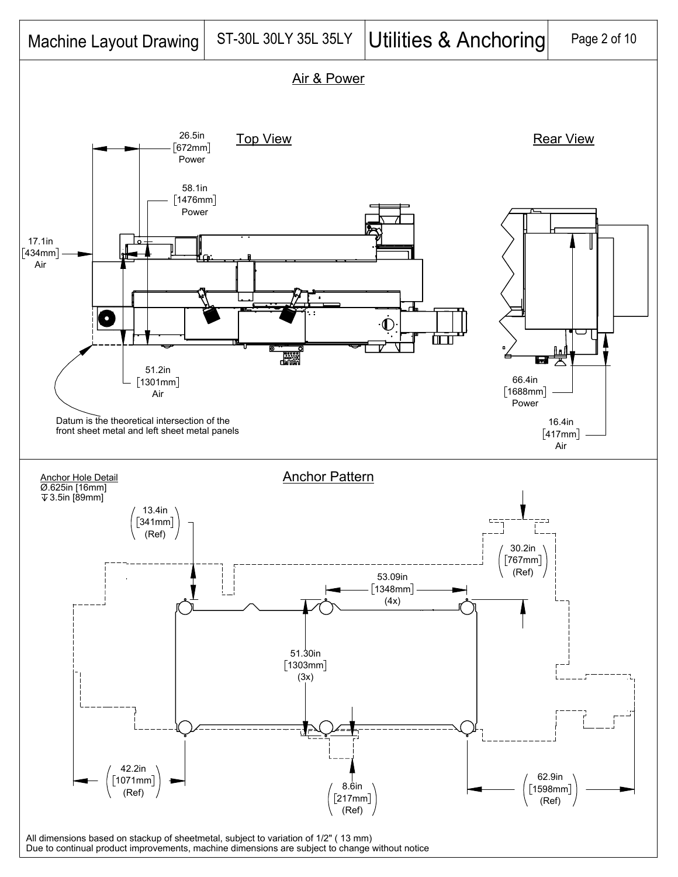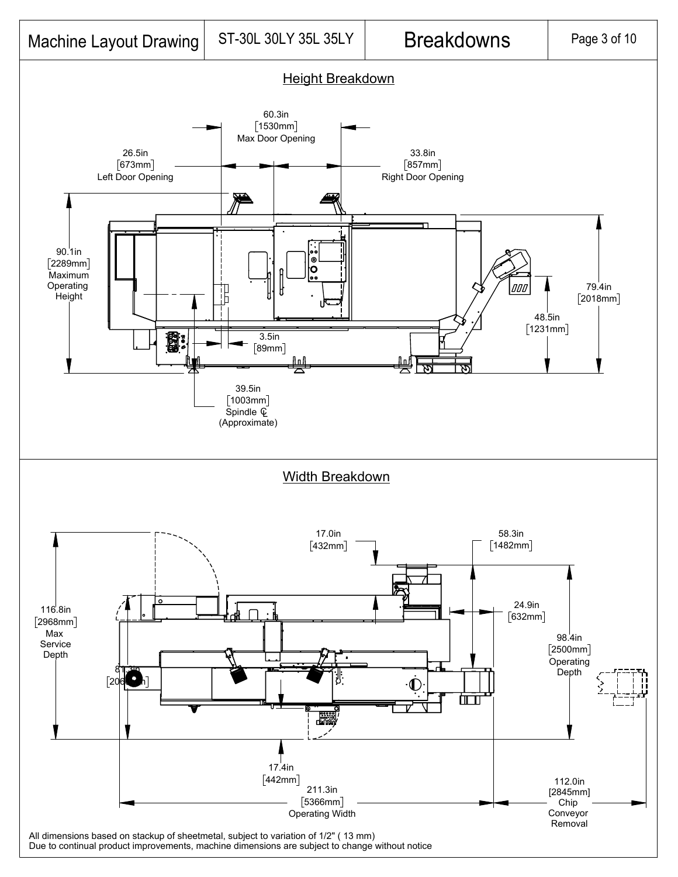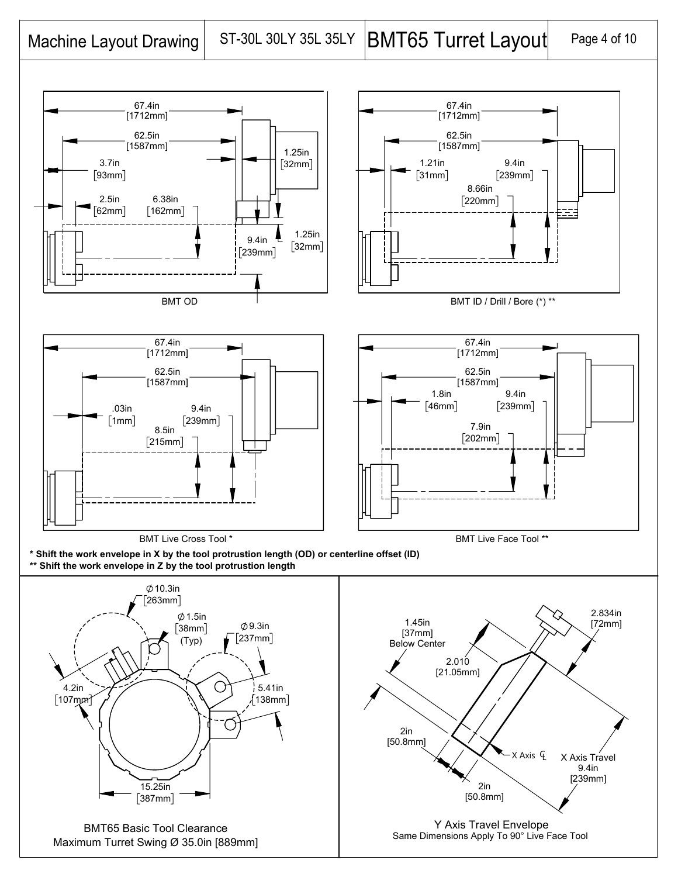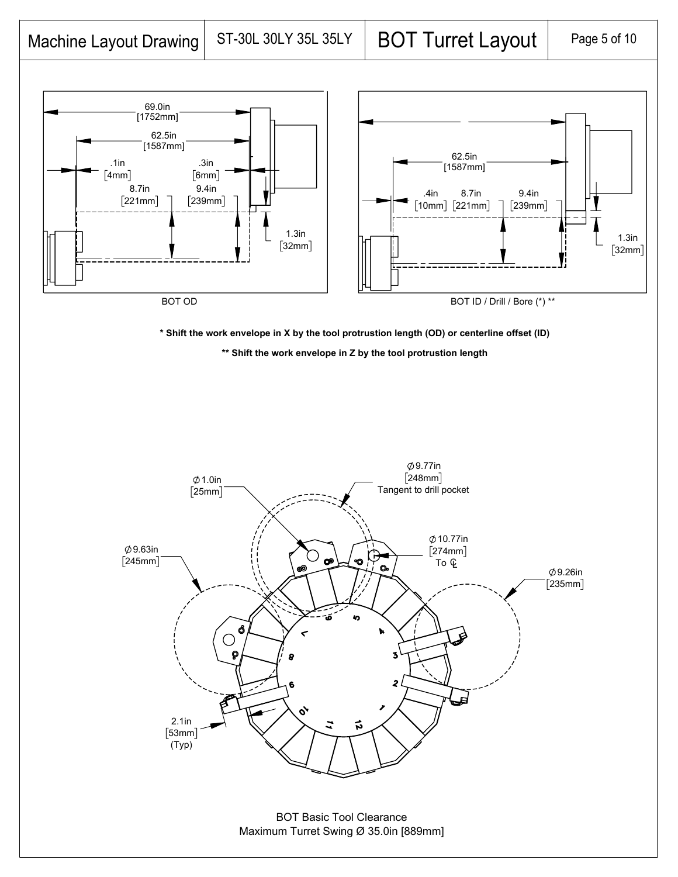

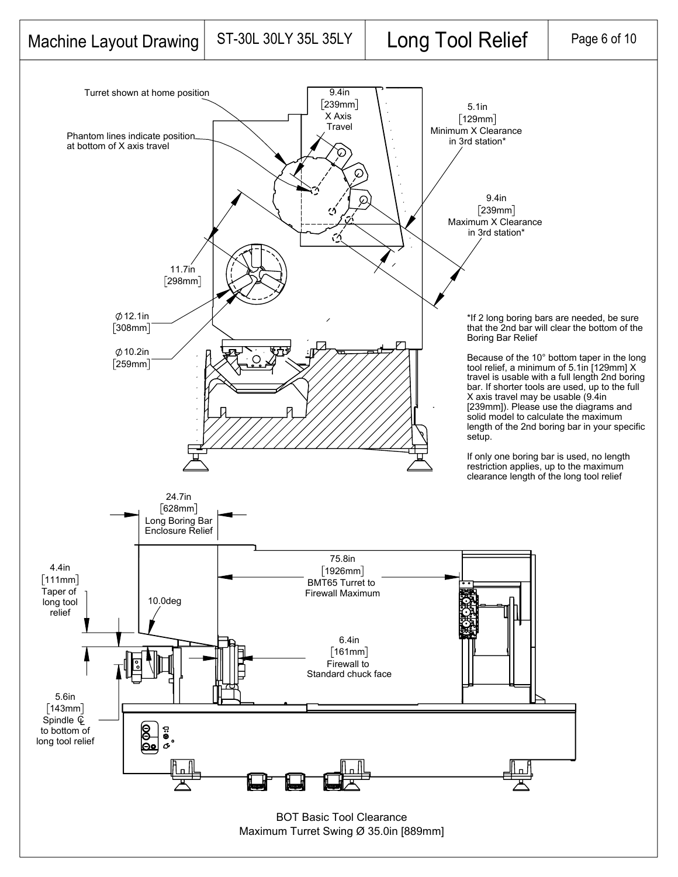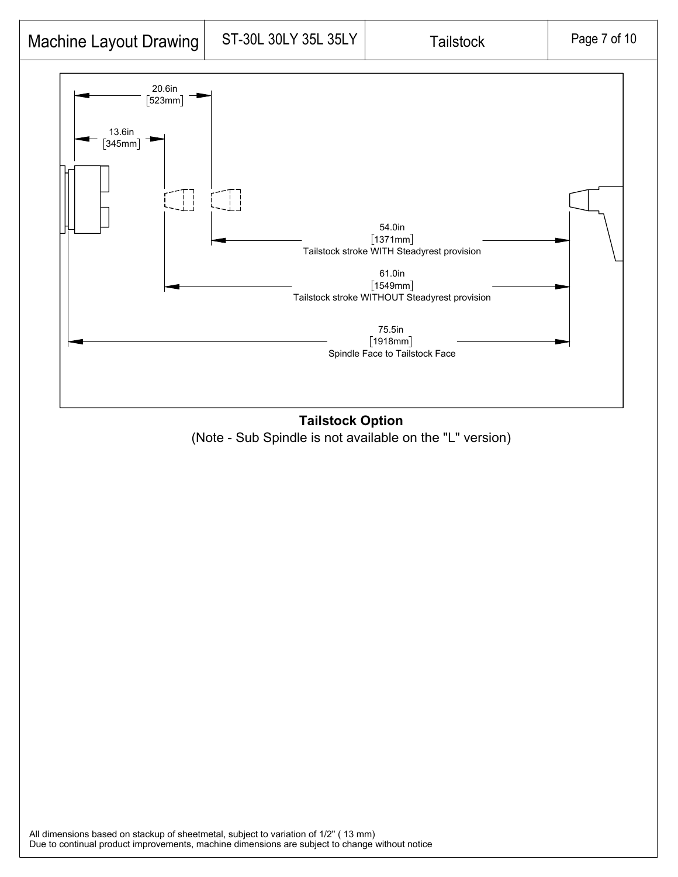





All dimensions based on stackup of sheetmetal, subject to variation of 1/2" ( 13 mm) Due to continual product improvements, machine dimensions are subject to change without notice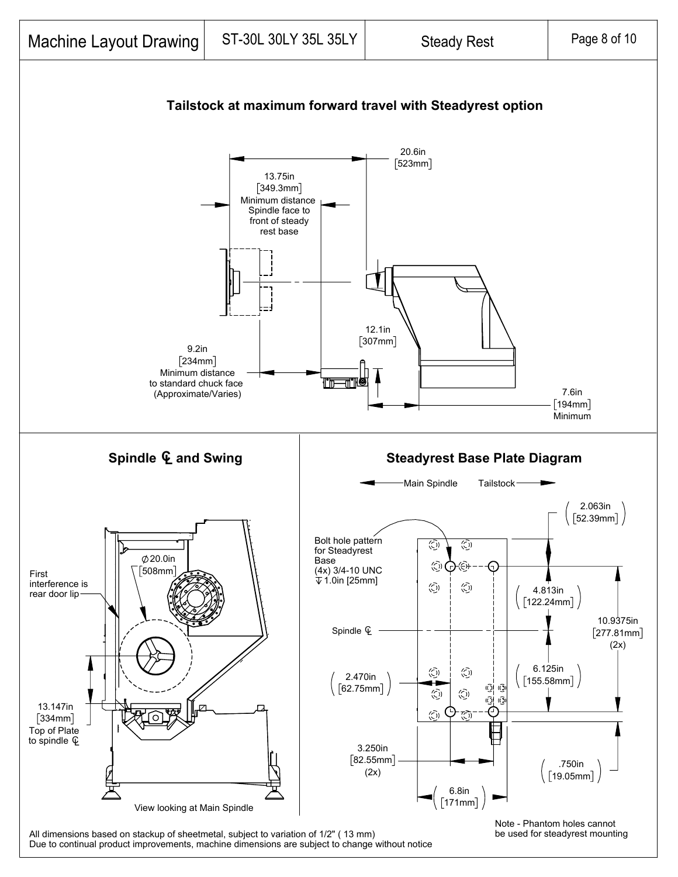